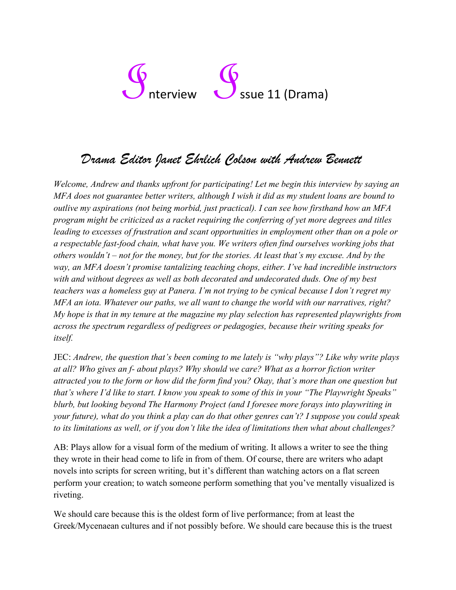# $\int_{0}^{\infty}$  Issue 11 (Drama)

## *Drama Editor Janet Ehrlich Colson with Andrew Bennett*

*Welcome, Andrew and thanks upfront for participating! Let me begin this interview by saying an MFA does not guarantee better writers, although I wish it did as my student loans are bound to outlive my aspirations (not being morbid, just practical). I can see how firsthand how an MFA program might be criticized as a racket requiring the conferring of yet more degrees and titles leading to excesses of frustration and scant opportunities in employment other than on a pole or a respectable fast-food chain, what have you. We writers often find ourselves working jobs that others wouldn't – not for the money, but for the stories. At least that's my excuse. And by the way, an MFA doesn't promise tantalizing teaching chops, either. I've had incredible instructors with and without degrees as well as both decorated and undecorated duds. One of my best teachers was a homeless guy at Panera. I'm not trying to be cynical because I don't regret my MFA an iota. Whatever our paths, we all want to change the world with our narratives, right? My hope is that in my tenure at the magazine my play selection has represented playwrights from across the spectrum regardless of pedigrees or pedagogies, because their writing speaks for itself.* 

JEC: *Andrew, the question that's been coming to me lately is "why plays"? Like why write plays at all? Who gives an f- about plays? Why should we care? What as a horror fiction writer attracted you to the form or how did the form find you? Okay, that's more than one question but that's where I'd like to start. I know you speak to some of this in your "The Playwright Speaks" blurb, but looking beyond The Harmony Project (and I foresee more forays into playwriting in your future), what do you think a play can do that other genres can't? I suppose you could speak to its limitations as well, or if you don't like the idea of limitations then what about challenges?* 

AB: Plays allow for a visual form of the medium of writing. It allows a writer to see the thing they wrote in their head come to life in from of them. Of course, there are writers who adapt novels into scripts for screen writing, but it's different than watching actors on a flat screen perform your creation; to watch someone perform something that you've mentally visualized is riveting.

We should care because this is the oldest form of live performance; from at least the Greek/Mycenaean cultures and if not possibly before. We should care because this is the truest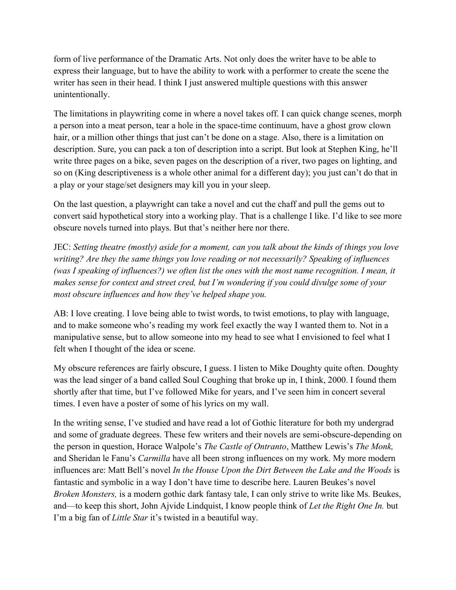form of live performance of the Dramatic Arts. Not only does the writer have to be able to express their language, but to have the ability to work with a performer to create the scene the writer has seen in their head. I think I just answered multiple questions with this answer unintentionally.

The limitations in playwriting come in where a novel takes off. I can quick change scenes, morph a person into a meat person, tear a hole in the space-time continuum, have a ghost grow clown hair, or a million other things that just can't be done on a stage. Also, there is a limitation on description. Sure, you can pack a ton of description into a script. But look at Stephen King, he'll write three pages on a bike, seven pages on the description of a river, two pages on lighting, and so on (King descriptiveness is a whole other animal for a different day); you just can't do that in a play or your stage/set designers may kill you in your sleep.

On the last question, a playwright can take a novel and cut the chaff and pull the gems out to convert said hypothetical story into a working play. That is a challenge I like. I'd like to see more obscure novels turned into plays. But that's neither here nor there.

JEC: *Setting theatre (mostly) aside for a moment, can you talk about the kinds of things you love writing? Are they the same things you love reading or not necessarily? Speaking of influences (was I speaking of influences?) we often list the ones with the most name recognition. I mean, it makes sense for context and street cred, but I'm wondering if you could divulge some of your most obscure influences and how they've helped shape you.* 

AB: I love creating. I love being able to twist words, to twist emotions, to play with language, and to make someone who's reading my work feel exactly the way I wanted them to. Not in a manipulative sense, but to allow someone into my head to see what I envisioned to feel what I felt when I thought of the idea or scene.

My obscure references are fairly obscure, I guess. I listen to Mike Doughty quite often. Doughty was the lead singer of a band called Soul Coughing that broke up in, I think, 2000. I found them shortly after that time, but I've followed Mike for years, and I've seen him in concert several times. I even have a poster of some of his lyrics on my wall.

In the writing sense, I've studied and have read a lot of Gothic literature for both my undergrad and some of graduate degrees. These few writers and their novels are semi-obscure-depending on the person in question, Horace Walpole's *The Castle of Ontranto*, Matthew Lewis's *The Monk,* and Sheridan le Fanu's *Carmilla* have all been strong influences on my work. My more modern influences are: Matt Bell's novel *In the House Upon the Dirt Between the Lake and the Woods* is fantastic and symbolic in a way I don't have time to describe here. Lauren Beukes's novel *Broken Monsters,* is a modern gothic dark fantasy tale, I can only strive to write like Ms. Beukes, and—to keep this short, John Ajvide Lindquist, I know people think of *Let the Right One In.* but I'm a big fan of *Little Star* it's twisted in a beautiful way.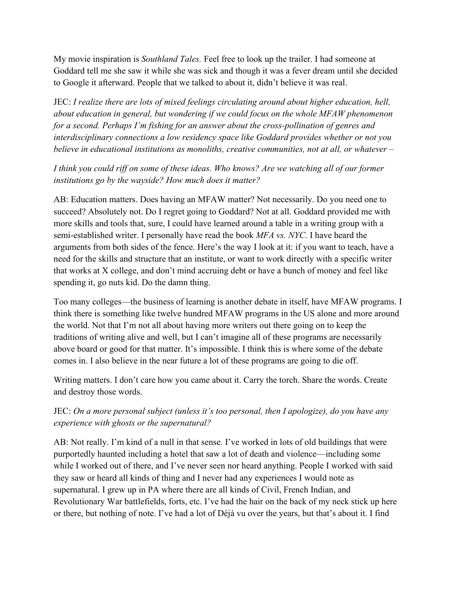My movie inspiration is *Southland Tales.* Feel free to look up the trailer. I had someone at Goddard tell me she saw it while she was sick and though it was a fever dream until she decided to Google it afterward. People that we talked to about it, didn't believe it was real.

JEC: *I realize there are lots of mixed feelings circulating around about higher education, hell, about education in general, but wondering if we could focus on the whole MFAW phenomenon for a second. Perhaps I'm fishing for an answer about the cross-pollination of genres and interdisciplinary connections a low residency space like Goddard provides whether or not you believe in educational institutions as monoliths, creative communities, not at all, or whatever –*

#### *I think you could riff on some of these ideas. Who knows? Are we watching all of our former institutions go by the wayside? How much does it matter?*

AB: Education matters. Does having an MFAW matter? Not necessarily. Do you need one to succeed? Absolutely not. Do I regret going to Goddard? Not at all. Goddard provided me with more skills and tools that, sure, I could have learned around a table in a writing group with a semi-established writer. I personally have read the book *MFA vs. NYC.* I have heard the arguments from both sides of the fence. Here's the way I look at it: if you want to teach, have a need for the skills and structure that an institute, or want to work directly with a specific writer that works at X college, and don't mind accruing debt or have a bunch of money and feel like spending it, go nuts kid. Do the damn thing.

Too many colleges—the business of learning is another debate in itself, have MFAW programs. I think there is something like twelve hundred MFAW programs in the US alone and more around the world. Not that I'm not all about having more writers out there going on to keep the traditions of writing alive and well, but I can't imagine all of these programs are necessarily above board or good for that matter. It's impossible. I think this is where some of the debate comes in. I also believe in the near future a lot of these programs are going to die off.

Writing matters. I don't care how you came about it. Carry the torch. Share the words. Create and destroy those words.

#### JEC: *On a more personal subject (unless it's too personal, then I apologize), do you have any experience with ghosts or the supernatural?*

AB: Not really. I'm kind of a null in that sense. I've worked in lots of old buildings that were purportedly haunted including a hotel that saw a lot of death and violence—including some while I worked out of there, and I've never seen nor heard anything. People I worked with said they saw or heard all kinds of thing and I never had any experiences I would note as supernatural. I grew up in PA where there are all kinds of Civil, French Indian, and Revolutionary War battlefields, forts, etc. I've had the hair on the back of my neck stick up here or there, but nothing of note. I've had a lot of Déjà vu over the years, but that's about it. I find